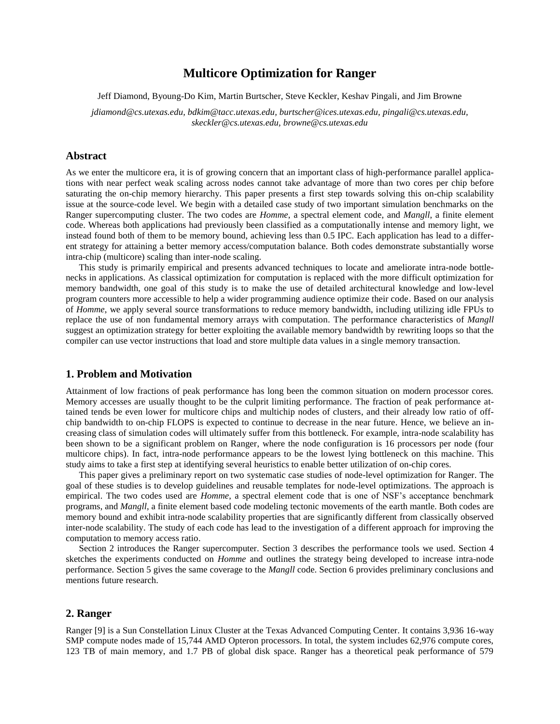# **Multicore Optimization for Ranger**

Jeff Diamond, Byoung-Do Kim, Martin Burtscher, Steve Keckler, Keshav Pingali, and Jim Browne

*jdiamond@cs.utexas.edu, bdkim@tacc.utexas.edu, burtscher@ices.utexas.edu, pingali@cs.utexas.edu, skeckler@cs.utexas.edu, browne@cs.utexas.edu*

## **Abstract**

As we enter the multicore era, it is of growing concern that an important class of high-performance parallel applications with near perfect weak scaling across nodes cannot take advantage of more than two cores per chip before saturating the on-chip memory hierarchy. This paper presents a first step towards solving this on-chip scalability issue at the source-code level. We begin with a detailed case study of two important simulation benchmarks on the Ranger supercomputing cluster. The two codes are *Homme*, a spectral element code, and *Mangll*, a finite element code. Whereas both applications had previously been classified as a computationally intense and memory light, we instead found both of them to be memory bound, achieving less than 0.5 IPC. Each application has lead to a different strategy for attaining a better memory access/computation balance. Both codes demonstrate substantially worse intra-chip (multicore) scaling than inter-node scaling.

This study is primarily empirical and presents advanced techniques to locate and ameliorate intra-node bottlenecks in applications. As classical optimization for computation is replaced with the more difficult optimization for memory bandwidth, one goal of this study is to make the use of detailed architectural knowledge and low-level program counters more accessible to help a wider programming audience optimize their code. Based on our analysis of *Homme*, we apply several source transformations to reduce memory bandwidth, including utilizing idle FPUs to replace the use of non fundamental memory arrays with computation. The performance characteristics of *Mangll* suggest an optimization strategy for better exploiting the available memory bandwidth by rewriting loops so that the compiler can use vector instructions that load and store multiple data values in a single memory transaction.

## **1. Problem and Motivation**

Attainment of low fractions of peak performance has long been the common situation on modern processor cores. Memory accesses are usually thought to be the culprit limiting performance. The fraction of peak performance attained tends be even lower for multicore chips and multichip nodes of clusters, and their already low ratio of offchip bandwidth to on-chip FLOPS is expected to continue to decrease in the near future. Hence, we believe an increasing class of simulation codes will ultimately suffer from this bottleneck. For example, intra-node scalability has been shown to be a significant problem on Ranger, where the node configuration is 16 processors per node (four multicore chips). In fact, intra-node performance appears to be the lowest lying bottleneck on this machine. This study aims to take a first step at identifying several heuristics to enable better utilization of on-chip cores.

This paper gives a preliminary report on two systematic case studies of node-level optimization for Ranger. The goal of these studies is to develop guidelines and reusable templates for node-level optimizations. The approach is empirical. The two codes used are *Homme*, a spectral element code that is one of NSF's acceptance benchmark programs, and *Mangll*, a finite element based code modeling tectonic movements of the earth mantle. Both codes are memory bound and exhibit intra-node scalability properties that are significantly different from classically observed inter-node scalability. The study of each code has lead to the investigation of a different approach for improving the computation to memory access ratio.

Section 2 introduces the Ranger supercomputer. Section 3 describes the performance tools we used. Section 4 sketches the experiments conducted on *Homme* and outlines the strategy being developed to increase intra-node performance. Section 5 gives the same coverage to the *Mangll* code. Section 6 provides preliminary conclusions and mentions future research.

# **2. Ranger**

Ranger [9] is a Sun Constellation Linux Cluster at the Texas Advanced Computing Center. It contains 3,936 16-way SMP compute nodes made of 15,744 AMD Opteron processors. In total, the system includes 62,976 compute cores, 123 TB of main memory, and 1.7 PB of global disk space. Ranger has a theoretical peak performance of 579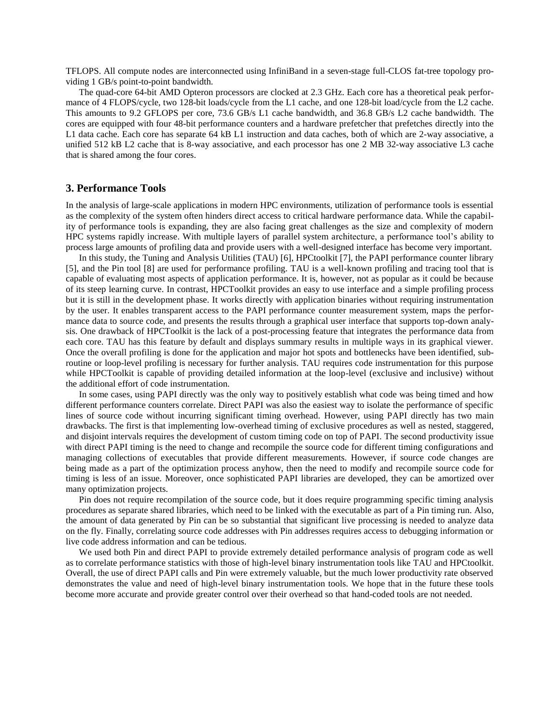TFLOPS. All compute nodes are interconnected using InfiniBand in a seven-stage full-CLOS fat-tree topology providing 1 GB/s point-to-point bandwidth.

The quad-core 64-bit AMD Opteron processors are clocked at 2.3 GHz. Each core has a theoretical peak performance of 4 FLOPS/cycle, two 128-bit loads/cycle from the L1 cache, and one 128-bit load/cycle from the L2 cache. This amounts to 9.2 GFLOPS per core, 73.6 GB/s L1 cache bandwidth, and 36.8 GB/s L2 cache bandwidth. The cores are equipped with four 48-bit performance counters and a hardware prefetcher that prefetches directly into the L1 data cache. Each core has separate 64 kB L1 instruction and data caches, both of which are 2-way associative, a unified 512 kB L2 cache that is 8-way associative, and each processor has one 2 MB 32-way associative L3 cache that is shared among the four cores.

### **3. Performance Tools**

In the analysis of large-scale applications in modern HPC environments, utilization of performance tools is essential as the complexity of the system often hinders direct access to critical hardware performance data. While the capability of performance tools is expanding, they are also facing great challenges as the size and complexity of modern HPC systems rapidly increase. With multiple layers of parallel system architecture, a performance tool's ability to process large amounts of profiling data and provide users with a well-designed interface has become very important.

In this study, the Tuning and Analysis Utilities (TAU) [6], HPCtoolkit [7], the PAPI performance counter library [5], and the Pin tool [8] are used for performance profiling. TAU is a well-known profiling and tracing tool that is capable of evaluating most aspects of application performance. It is, however, not as popular as it could be because of its steep learning curve. In contrast, HPCToolkit provides an easy to use interface and a simple profiling process but it is still in the development phase. It works directly with application binaries without requiring instrumentation by the user. It enables transparent access to the PAPI performance counter measurement system, maps the performance data to source code, and presents the results through a graphical user interface that supports top-down analysis. One drawback of HPCToolkit is the lack of a post-processing feature that integrates the performance data from each core. TAU has this feature by default and displays summary results in multiple ways in its graphical viewer. Once the overall profiling is done for the application and major hot spots and bottlenecks have been identified, subroutine or loop-level profiling is necessary for further analysis. TAU requires code instrumentation for this purpose while HPCToolkit is capable of providing detailed information at the loop-level (exclusive and inclusive) without the additional effort of code instrumentation.

In some cases, using PAPI directly was the only way to positively establish what code was being timed and how different performance counters correlate. Direct PAPI was also the easiest way to isolate the performance of specific lines of source code without incurring significant timing overhead. However, using PAPI directly has two main drawbacks. The first is that implementing low-overhead timing of exclusive procedures as well as nested, staggered, and disjoint intervals requires the development of custom timing code on top of PAPI. The second productivity issue with direct PAPI timing is the need to change and recompile the source code for different timing configurations and managing collections of executables that provide different measurements. However, if source code changes are being made as a part of the optimization process anyhow, then the need to modify and recompile source code for timing is less of an issue. Moreover, once sophisticated PAPI libraries are developed, they can be amortized over many optimization projects.

Pin does not require recompilation of the source code, but it does require programming specific timing analysis procedures as separate shared libraries, which need to be linked with the executable as part of a Pin timing run. Also, the amount of data generated by Pin can be so substantial that significant live processing is needed to analyze data on the fly. Finally, correlating source code addresses with Pin addresses requires access to debugging information or live code address information and can be tedious.

We used both Pin and direct PAPI to provide extremely detailed performance analysis of program code as well as to correlate performance statistics with those of high-level binary instrumentation tools like TAU and HPCtoolkit. Overall, the use of direct PAPI calls and Pin were extremely valuable, but the much lower productivity rate observed demonstrates the value and need of high-level binary instrumentation tools. We hope that in the future these tools become more accurate and provide greater control over their overhead so that hand-coded tools are not needed.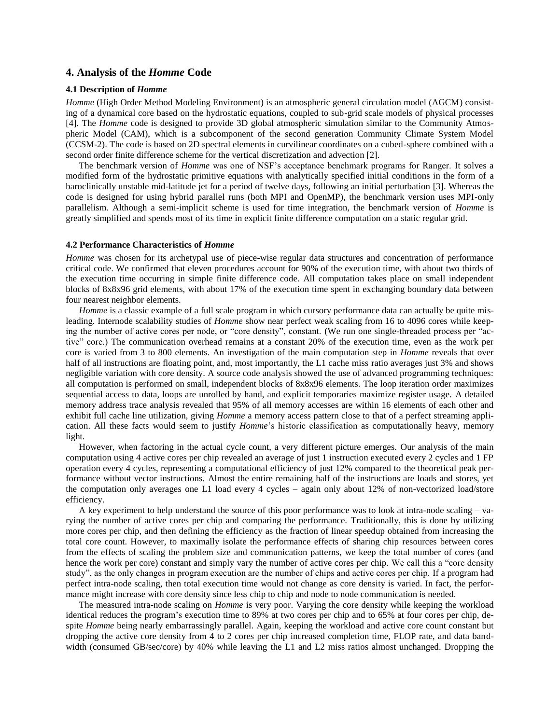## **4. Analysis of the** *Homme* **Code**

## **4.1 Description of** *Homme*

*Homme* (High Order Method Modeling Environment) is an atmospheric general circulation model (AGCM) consisting of a dynamical core based on the hydrostatic equations, coupled to sub-grid scale models of physical processes [4]. The *Homme* code is designed to provide 3D global atmospheric simulation similar to the Community Atmospheric Model (CAM), which is a subcomponent of the second generation Community Climate System Model (CCSM-2). The code is based on 2D spectral elements in curvilinear coordinates on a cubed-sphere combined with a second order finite difference scheme for the vertical discretization and advection [2].

The benchmark version of *Homme* was one of NSF's acceptance benchmark programs for Ranger. It solves a modified form of the hydrostatic primitive equations with analytically specified initial conditions in the form of a baroclinically unstable mid-latitude jet for a period of twelve days, following an initial perturbation [3]. Whereas the code is designed for using hybrid parallel runs (both MPI and OpenMP), the benchmark version uses MPI-only parallelism. Although a semi-implicit scheme is used for time integration, the benchmark version of *Homme* is greatly simplified and spends most of its time in explicit finite difference computation on a static regular grid.

### **4.2 Performance Characteristics of** *Homme*

*Homme* was chosen for its archetypal use of piece-wise regular data structures and concentration of performance critical code. We confirmed that eleven procedures account for 90% of the execution time, with about two thirds of the execution time occurring in simple finite difference code. All computation takes place on small independent blocks of 8x8x96 grid elements, with about 17% of the execution time spent in exchanging boundary data between four nearest neighbor elements.

*Homme* is a classic example of a full scale program in which cursory performance data can actually be quite misleading. Internode scalability studies of *Homme* show near perfect weak scaling from 16 to 4096 cores while keeping the number of active cores per node, or "core density", constant. (We run one single-threaded process per "active" core.) The communication overhead remains at a constant 20% of the execution time, even as the work per core is varied from 3 to 800 elements. An investigation of the main computation step in *Homme* reveals that over half of all instructions are floating point, and, most importantly, the L1 cache miss ratio averages just 3% and shows negligible variation with core density. A source code analysis showed the use of advanced programming techniques: all computation is performed on small, independent blocks of 8x8x96 elements. The loop iteration order maximizes sequential access to data, loops are unrolled by hand, and explicit temporaries maximize register usage. A detailed memory address trace analysis revealed that 95% of all memory accesses are within 16 elements of each other and exhibit full cache line utilization, giving *Homme* a memory access pattern close to that of a perfect streaming application. All these facts would seem to justify *Homme*'s historic classification as computationally heavy, memory light.

However, when factoring in the actual cycle count, a very different picture emerges. Our analysis of the main computation using 4 active cores per chip revealed an average of just 1 instruction executed every 2 cycles and 1 FP operation every 4 cycles, representing a computational efficiency of just 12% compared to the theoretical peak performance without vector instructions. Almost the entire remaining half of the instructions are loads and stores, yet the computation only averages one L1 load every 4 cycles – again only about 12% of non-vectorized load/store efficiency.

A key experiment to help understand the source of this poor performance was to look at intra-node scaling – varying the number of active cores per chip and comparing the performance. Traditionally, this is done by utilizing more cores per chip, and then defining the efficiency as the fraction of linear speedup obtained from increasing the total core count. However, to maximally isolate the performance effects of sharing chip resources between cores from the effects of scaling the problem size and communication patterns, we keep the total number of cores (and hence the work per core) constant and simply vary the number of active cores per chip. We call this a "core density study", as the only changes in program execution are the number of chips and active cores per chip. If a program had perfect intra-node scaling, then total execution time would not change as core density is varied. In fact, the performance might increase with core density since less chip to chip and node to node communication is needed.

The measured intra-node scaling on *Homme* is very poor. Varying the core density while keeping the workload identical reduces the program's execution time to 89% at two cores per chip and to 65% at four cores per chip, despite *Homme* being nearly embarrassingly parallel. Again, keeping the workload and active core count constant but dropping the active core density from 4 to 2 cores per chip increased completion time, FLOP rate, and data bandwidth (consumed GB/sec/core) by 40% while leaving the L1 and L2 miss ratios almost unchanged. Dropping the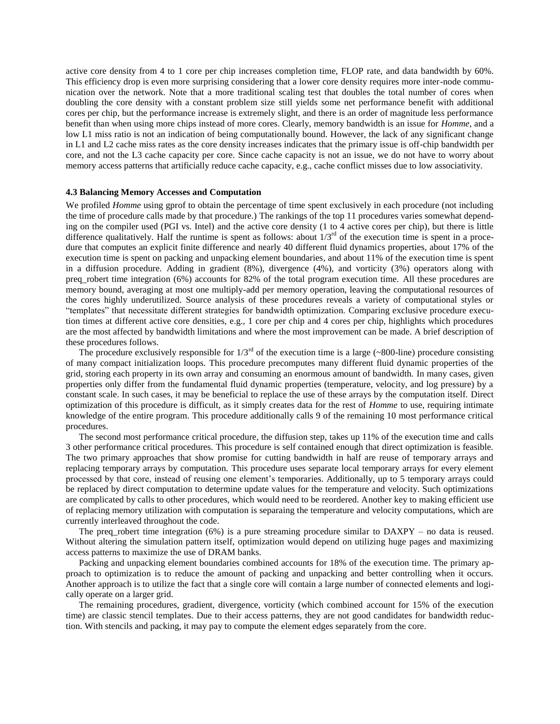active core density from 4 to 1 core per chip increases completion time, FLOP rate, and data bandwidth by 60%. This efficiency drop is even more surprising considering that a lower core density requires more inter-node communication over the network. Note that a more traditional scaling test that doubles the total number of cores when doubling the core density with a constant problem size still yields some net performance benefit with additional cores per chip, but the performance increase is extremely slight, and there is an order of magnitude less performance benefit than when using more chips instead of more cores. Clearly, memory bandwidth is an issue for *Homme*, and a low L1 miss ratio is not an indication of being computationally bound. However, the lack of any significant change in L1 and L2 cache miss rates as the core density increases indicates that the primary issue is off-chip bandwidth per core, and not the L3 cache capacity per core. Since cache capacity is not an issue, we do not have to worry about memory access patterns that artificially reduce cache capacity, e.g., cache conflict misses due to low associativity.

### **4.3 Balancing Memory Accesses and Computation**

We profiled *Homme* using gprof to obtain the percentage of time spent exclusively in each procedure (not including the time of procedure calls made by that procedure.) The rankings of the top 11 procedures varies somewhat depending on the compiler used (PGI vs. Intel) and the active core density (1 to 4 active cores per chip), but there is little difference qualitatively. Half the runtime is spent as follows: about  $1/3^{rd}$  of the execution time is spent in a procedure that computes an explicit finite difference and nearly 40 different fluid dynamics properties, about 17% of the execution time is spent on packing and unpacking element boundaries, and about 11% of the execution time is spent in a diffusion procedure. Adding in gradient (8%), divergence (4%), and vorticity (3%) operators along with preq\_robert time integration (6%) accounts for 82% of the total program execution time. All these procedures are memory bound, averaging at most one multiply-add per memory operation, leaving the computational resources of the cores highly underutilized. Source analysis of these procedures reveals a variety of computational styles or "templates" that necessitate different strategies for bandwidth optimization. Comparing exclusive procedure execution times at different active core densities, e.g., 1 core per chip and 4 cores per chip, highlights which procedures are the most affected by bandwidth limitations and where the most improvement can be made. A brief description of these procedures follows.

The procedure exclusively responsible for  $1/3^{rd}$  of the execution time is a large (~800-line) procedure consisting of many compact initialization loops. This procedure precomputes many different fluid dynamic properties of the grid, storing each property in its own array and consuming an enormous amount of bandwidth. In many cases, given properties only differ from the fundamental fluid dynamic properties (temperature, velocity, and log pressure) by a constant scale. In such cases, it may be beneficial to replace the use of these arrays by the computation itself. Direct optimization of this procedure is difficult, as it simply creates data for the rest of *Homme* to use, requiring intimate knowledge of the entire program. This procedure additionally calls 9 of the remaining 10 most performance critical procedures.

The second most performance critical procedure, the diffusion step, takes up 11% of the execution time and calls 3 other performance critical procedures. This procedure is self contained enough that direct optimization is feasible. The two primary approaches that show promise for cutting bandwidth in half are reuse of temporary arrays and replacing temporary arrays by computation. This procedure uses separate local temporary arrays for every element processed by that core, instead of reusing one element's temporaries. Additionally, up to 5 temporary arrays could be replaced by direct computation to determine update values for the temperature and velocity. Such optimizations are complicated by calls to other procedures, which would need to be reordered. Another key to making efficient use of replacing memory utilization with computation is separaing the temperature and velocity computations, which are currently interleaved throughout the code.

The preq\_robert time integration (6%) is a pure streaming procedure similar to DAXPY – no data is reused. Without altering the simulation pattern itself, optimization would depend on utilizing huge pages and maximizing access patterns to maximize the use of DRAM banks.

Packing and unpacking element boundaries combined accounts for 18% of the execution time. The primary approach to optimization is to reduce the amount of packing and unpacking and better controlling when it occurs. Another approach is to utilize the fact that a single core will contain a large number of connected elements and logically operate on a larger grid.

The remaining procedures, gradient, divergence, vorticity (which combined account for 15% of the execution time) are classic stencil templates. Due to their access patterns, they are not good candidates for bandwidth reduction. With stencils and packing, it may pay to compute the element edges separately from the core.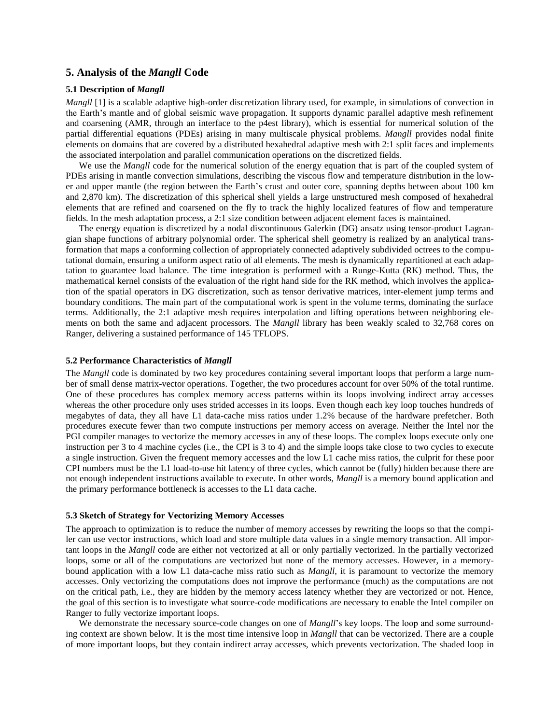# **5. Analysis of the** *Mangll* **Code**

## **5.1 Description of** *Mangll*

*Mangll* [1] is a scalable adaptive high-order discretization library used, for example, in simulations of convection in the Earth's mantle and of global seismic wave propagation. It supports dynamic parallel adaptive mesh refinement and coarsening (AMR, through an interface to the p4est library), which is essential for numerical solution of the partial differential equations (PDEs) arising in many multiscale physical problems. *Mangll* provides nodal finite elements on domains that are covered by a distributed hexahedral adaptive mesh with 2:1 split faces and implements the associated interpolation and parallel communication operations on the discretized fields.

We use the *Mangll* code for the numerical solution of the energy equation that is part of the coupled system of PDEs arising in mantle convection simulations, describing the viscous flow and temperature distribution in the lower and upper mantle (the region between the Earth's crust and outer core, spanning depths between about 100 km and 2,870 km). The discretization of this spherical shell yields a large unstructured mesh composed of hexahedral elements that are refined and coarsened on the fly to track the highly localized features of flow and temperature fields. In the mesh adaptation process, a 2:1 size condition between adjacent element faces is maintained.

The energy equation is discretized by a nodal discontinuous Galerkin (DG) ansatz using tensor-product Lagrangian shape functions of arbitrary polynomial order. The spherical shell geometry is realized by an analytical transformation that maps a conforming collection of appropriately connected adaptively subdivided octrees to the computational domain, ensuring a uniform aspect ratio of all elements. The mesh is dynamically repartitioned at each adaptation to guarantee load balance. The time integration is performed with a Runge-Kutta (RK) method. Thus, the mathematical kernel consists of the evaluation of the right hand side for the RK method, which involves the application of the spatial operators in DG discretization, such as tensor derivative matrices, inter-element jump terms and boundary conditions. The main part of the computational work is spent in the volume terms, dominating the surface terms. Additionally, the 2:1 adaptive mesh requires interpolation and lifting operations between neighboring elements on both the same and adjacent processors. The *Mangll* library has been weakly scaled to 32,768 cores on Ranger, delivering a sustained performance of 145 TFLOPS.

### **5.2 Performance Characteristics of** *Mangll*

The *Mangll* code is dominated by two key procedures containing several important loops that perform a large number of small dense matrix-vector operations. Together, the two procedures account for over 50% of the total runtime. One of these procedures has complex memory access patterns within its loops involving indirect array accesses whereas the other procedure only uses strided accesses in its loops. Even though each key loop touches hundreds of megabytes of data, they all have L1 data-cache miss ratios under 1.2% because of the hardware prefetcher. Both procedures execute fewer than two compute instructions per memory access on average. Neither the Intel nor the PGI compiler manages to vectorize the memory accesses in any of these loops. The complex loops execute only one instruction per 3 to 4 machine cycles (i.e., the CPI is 3 to 4) and the simple loops take close to two cycles to execute a single instruction. Given the frequent memory accesses and the low L1 cache miss ratios, the culprit for these poor CPI numbers must be the L1 load-to-use hit latency of three cycles, which cannot be (fully) hidden because there are not enough independent instructions available to execute. In other words, *Mangll* is a memory bound application and the primary performance bottleneck is accesses to the L1 data cache.

### **5.3 Sketch of Strategy for Vectorizing Memory Accesses**

The approach to optimization is to reduce the number of memory accesses by rewriting the loops so that the compiler can use vector instructions, which load and store multiple data values in a single memory transaction. All important loops in the *Mangll* code are either not vectorized at all or only partially vectorized. In the partially vectorized loops, some or all of the computations are vectorized but none of the memory accesses. However, in a memorybound application with a low L1 data-cache miss ratio such as *Mangll*, it is paramount to vectorize the memory accesses. Only vectorizing the computations does not improve the performance (much) as the computations are not on the critical path, i.e., they are hidden by the memory access latency whether they are vectorized or not. Hence, the goal of this section is to investigate what source-code modifications are necessary to enable the Intel compiler on Ranger to fully vectorize important loops.

We demonstrate the necessary source-code changes on one of *Mangll*'s key loops. The loop and some surrounding context are shown below. It is the most time intensive loop in *Mangll* that can be vectorized. There are a couple of more important loops, but they contain indirect array accesses, which prevents vectorization. The shaded loop in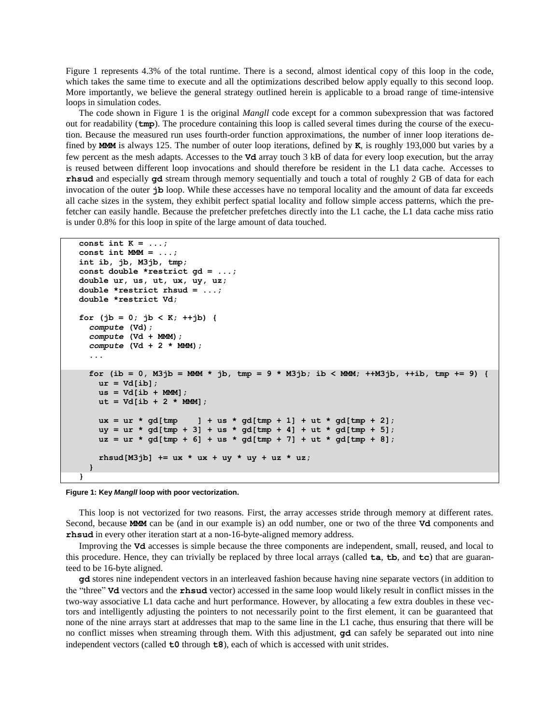Figure 1 represents 4.3% of the total runtime. There is a second, almost identical copy of this loop in the code, which takes the same time to execute and all the optimizations described below apply equally to this second loop. More importantly, we believe the general strategy outlined herein is applicable to a broad range of time-intensive loops in simulation codes.

The code shown in Figure 1 is the original *Mangll* code except for a common subexpression that was factored out for readability (**tmp**). The procedure containing this loop is called several times during the course of the execution. Because the measured run uses fourth-order function approximations, the number of inner loop iterations defined by **MMM** is always 125. The number of outer loop iterations, defined by **K**, is roughly 193,000 but varies by a few percent as the mesh adapts. Accesses to the **Vd** array touch 3 kB of data for every loop execution, but the array is reused between different loop invocations and should therefore be resident in the L1 data cache. Accesses to **rhsud** and especially **gd** stream through memory sequentially and touch a total of roughly 2 GB of data for each invocation of the outer **jb** loop. While these accesses have no temporal locality and the amount of data far exceeds all cache sizes in the system, they exhibit perfect spatial locality and follow simple access patterns, which the prefetcher can easily handle. Because the prefetcher prefetches directly into the L1 cache, the L1 data cache miss ratio is under 0.8% for this loop in spite of the large amount of data touched.

```
const int K = ...;
const int MMM = ...;
int ib, jb, M3jb, tmp;
const double *restrict gd = ...;
double ur, us, ut, ux, uy, uz;
double *restrict rhsud = ...;
double *restrict Vd;
for (jb = 0; jb < K; ++jb) {
  compute (Vd);
   compute (Vd + MMM);
  compute (Vd + 2 * MMM);
 ...
   for (ib = 0, M3jb = MMM * jb, tmp = 9 * M3jb; ib < MMM; ++M3jb, ++ib, tmp += 9) {
    ur = Vd[ib]; us = Vd[ib + MMM];
    ut = Vd[ib + 2 * MM];ux = ur * gd[tmp] + us * gd[tmp + 1] + ut * gd[tmp + 2]; uy = ur * gd[tmp + 3] + us * gd[tmp + 4] + ut * gd[tmp + 5];
    uz = ur * gd[tmp + 6] + us * gd[tmp + 7] + ut * gd[tmp + 8]; rhsud[M3jb] += ux * ux + uy * uy + uz * uz;
   }
}
```
#### **Figure 1: Key** *Mangll* **loop with poor vectorization.**

This loop is not vectorized for two reasons. First, the array accesses stride through memory at different rates. Second, because **MMM** can be (and in our example is) an odd number, one or two of the three **Vd** components and **rhsud** in every other iteration start at a non-16-byte-aligned memory address.

Improving the **Vd** accesses is simple because the three components are independent, small, reused, and local to this procedure. Hence, they can trivially be replaced by three local arrays (called **ta**, **tb**, and **tc**) that are guaranteed to be 16-byte aligned.

**gd** stores nine independent vectors in an interleaved fashion because having nine separate vectors (in addition to the "three" **Vd** vectors and the **rhsud** vector) accessed in the same loop would likely result in conflict misses in the two-way associative L1 data cache and hurt performance. However, by allocating a few extra doubles in these vectors and intelligently adjusting the pointers to not necessarily point to the first element, it can be guaranteed that none of the nine arrays start at addresses that map to the same line in the L1 cache, thus ensuring that there will be no conflict misses when streaming through them. With this adjustment, **gd** can safely be separated out into nine independent vectors (called **t0** through **t8**), each of which is accessed with unit strides.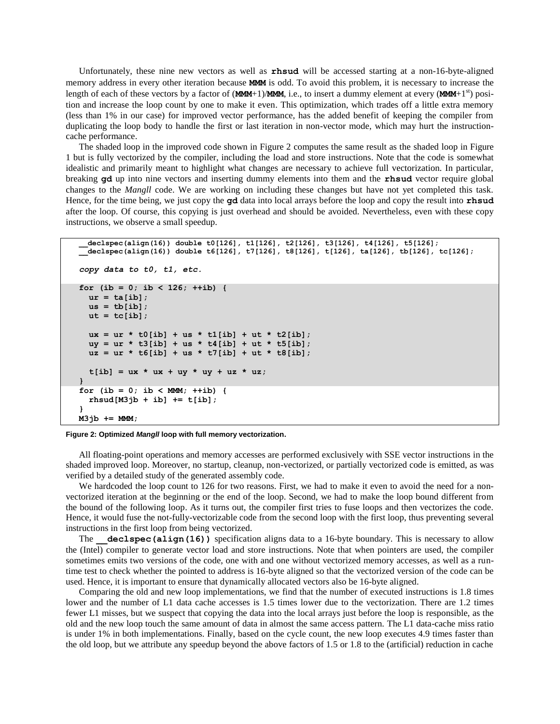Unfortunately, these nine new vectors as well as **rhsud** will be accessed starting at a non-16-byte-aligned memory address in every other iteration because **MMM** is odd. To avoid this problem, it is necessary to increase the length of each of these vectors by a factor of  $(MMM+1)/MMM$ , i.e., to insert a dummy element at every  $(MMM+1<sup>st</sup>)$  position and increase the loop count by one to make it even. This optimization, which trades off a little extra memory (less than 1% in our case) for improved vector performance, has the added benefit of keeping the compiler from duplicating the loop body to handle the first or last iteration in non-vector mode, which may hurt the instructioncache performance.

The shaded loop in the improved code shown in Figure 2 computes the same result as the shaded loop in Figure 1 but is fully vectorized by the compiler, including the load and store instructions. Note that the code is somewhat idealistic and primarily meant to highlight what changes are necessary to achieve full vectorization. In particular, breaking **gd** up into nine vectors and inserting dummy elements into them and the **rhsud** vector require global changes to the *Mangll* code. We are working on including these changes but have not yet completed this task. Hence, for the time being, we just copy the **gd** data into local arrays before the loop and copy the result into **rhsud** after the loop. Of course, this copying is just overhead and should be avoided. Nevertheless, even with these copy instructions, we observe a small speedup.

```
__declspec(align(16)) double t0[126], t1[126], t2[126], t3[126], t4[126], t5[126];
__declspec(align(16)) double t6[126], t7[126], t8[126], t[126], ta[126], tb[126], tc[126];
copy data to t0, t1, etc.
for (ib = 0; ib < 126; ++ib) {
  ur = ta[ib];us = tb[ib];ut = tc[ib];ux = ur * t0[ib] + us * t1[ib] + ut * t2[ib];uy = ur * t3[ib] + us * t4[ib] + ut * t5[ib];uz = ur * t6[ib] + us * t7[ib] + ut * t8[ib];t[ib] = ux * ux + uy * uy + uz * uz;}
for (ib = 0; ib < MMM; ++ib) {
   rhsud[M3jb + ib] += t[ib];
}
M3jb += MMM;
```


All floating-point operations and memory accesses are performed exclusively with SSE vector instructions in the shaded improved loop. Moreover, no startup, cleanup, non-vectorized, or partially vectorized code is emitted, as was verified by a detailed study of the generated assembly code.

We hardcoded the loop count to 126 for two reasons. First, we had to make it even to avoid the need for a nonvectorized iteration at the beginning or the end of the loop. Second, we had to make the loop bound different from the bound of the following loop. As it turns out, the compiler first tries to fuse loops and then vectorizes the code. Hence, it would fuse the not-fully-vectorizable code from the second loop with the first loop, thus preventing several instructions in the first loop from being vectorized.

The **declspec(align(16))** specification aligns data to a 16-byte boundary. This is necessary to allow the (Intel) compiler to generate vector load and store instructions. Note that when pointers are used, the compiler sometimes emits two versions of the code, one with and one without vectorized memory accesses, as well as a runtime test to check whether the pointed to address is 16-byte aligned so that the vectorized version of the code can be used. Hence, it is important to ensure that dynamically allocated vectors also be 16-byte aligned.

Comparing the old and new loop implementations, we find that the number of executed instructions is 1.8 times lower and the number of L1 data cache accesses is 1.5 times lower due to the vectorization. There are 1.2 times fewer L1 misses, but we suspect that copying the data into the local arrays just before the loop is responsible, as the old and the new loop touch the same amount of data in almost the same access pattern. The L1 data-cache miss ratio is under 1% in both implementations. Finally, based on the cycle count, the new loop executes 4.9 times faster than the old loop, but we attribute any speedup beyond the above factors of 1.5 or 1.8 to the (artificial) reduction in cache